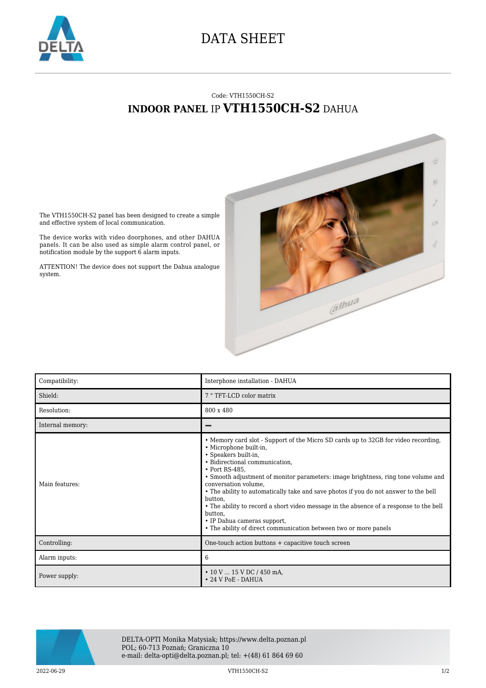

## DATA SHEET

## Code: VTH1550CH-S2 **INDOOR PANEL** IP **VTH1550CH-S2** DAHUA



The VTH1550CH-S2 panel has been designed to create a simple and effective system of local communication.

The device works with video doorphones, and other DAHUA panels. It can be also used as simple alarm control panel, or notification module by the support 6 alarm inputs.

ATTENTION! The device does not support the Dahua analogue system.

| Compatibility:   | Interphone installation - DAHUA                                                                                                                                                                                                                                                                                                                                                                                                                                                                                                                                                                                  |
|------------------|------------------------------------------------------------------------------------------------------------------------------------------------------------------------------------------------------------------------------------------------------------------------------------------------------------------------------------------------------------------------------------------------------------------------------------------------------------------------------------------------------------------------------------------------------------------------------------------------------------------|
| Shield:          | 7 " TFT-LCD color matrix                                                                                                                                                                                                                                                                                                                                                                                                                                                                                                                                                                                         |
| Resolution:      | 800 x 480                                                                                                                                                                                                                                                                                                                                                                                                                                                                                                                                                                                                        |
| Internal memory: |                                                                                                                                                                                                                                                                                                                                                                                                                                                                                                                                                                                                                  |
| Main features:   | • Memory card slot - Support of the Micro SD cards up to 32GB for video recording,<br>· Microphone built-in,<br>• Speakers built-in,<br>· Bidirectional communication,<br>• Port RS-485.<br>• Smooth adjustment of monitor parameters: image brightness, ring tone volume and<br>conversation volume,<br>• The ability to automatically take and save photos if you do not answer to the bell<br>button,<br>• The ability to record a short video message in the absence of a response to the bell<br>button,<br>• IP Dahua cameras support,<br>• The ability of direct communication between two or more panels |
| Controlling:     | One-touch action buttons + capacitive touch screen                                                                                                                                                                                                                                                                                                                                                                                                                                                                                                                                                               |
| Alarm inputs:    | 6                                                                                                                                                                                                                                                                                                                                                                                                                                                                                                                                                                                                                |
| Power supply:    | $\cdot$ 10 V  15 V DC / 450 mA,<br>$\cdot$ 24 V PoE - DAHUA                                                                                                                                                                                                                                                                                                                                                                                                                                                                                                                                                      |



DELTA-OPTI Monika Matysiak; https://www.delta.poznan.pl POL; 60-713 Poznań; Graniczna 10 e-mail: delta-opti@delta.poznan.pl; tel: +(48) 61 864 69 60

2022-06-29 VTH1550CH-S2 1/2